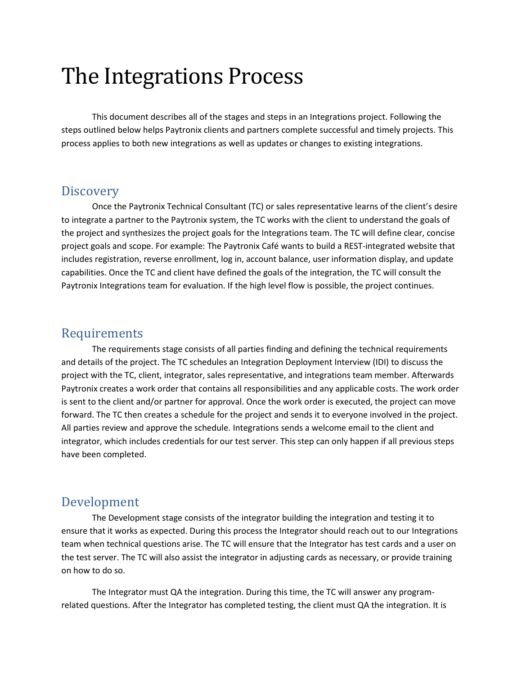# The Integrations Process

This document describes all of the stages and steps in an Integrations project. Following the steps outlined below helps Paytronix clients and partners complete successful and timely projects. This process applies to both new integrations as well as updates or changes to existing integrations.

### **Discovery**

Once the Paytronix Technical Consultant (TC) or sales representative learns of the client's desire to integrate a partner to the Paytronix system, the TC works with the client to understand the goals of the project and synthesizes the project goals for the Integrations team. The TC will define clear, concise project goals and scope. For example: The Paytronix Café wants to build a REST-integrated website that includes registration, reverse enrollment, log in, account balance, user information display, and update capabilities. Once the TC and client have defined the goals of the integration, the TC will consult the Paytronix Integrations team for evaluation. If the high level flow is possible, the project continues.

### Requirements

The requirements stage consists of all parties finding and defining the technical requirements and details of the project. The TC schedules an Integration Deployment Interview (IDI) to discuss the project with the TC, client, integrator, sales representative, and integrations team member. Afterwards Paytronix creates a work order that contains all responsibilities and any applicable costs. The work order is sent to the client and/or partner for approval. Once the work order is executed, the project can move forward. The TC then creates a schedule for the project and sends it to everyone involved in the project. All parties review and approve the schedule. Integrations sends a welcome email to the client and integrator, which includes credentials for our test server. This step can only happen if all previous steps have been completed.

## Development

The Development stage consists of the integrator building the integration and testing it to ensure that it works as expected. During this process the Integrator should reach out to our Integrations team when technical questions arise. The TC will ensure that the Integrator has test cards and a user on the test server. The TC will also assist the integrator in adjusting cards as necessary, or provide training on how to do so.

The Integrator must QA the integration. During this time, the TC will answer any programrelated questions. After the Integrator has completed testing, the client must QA the integration. It is